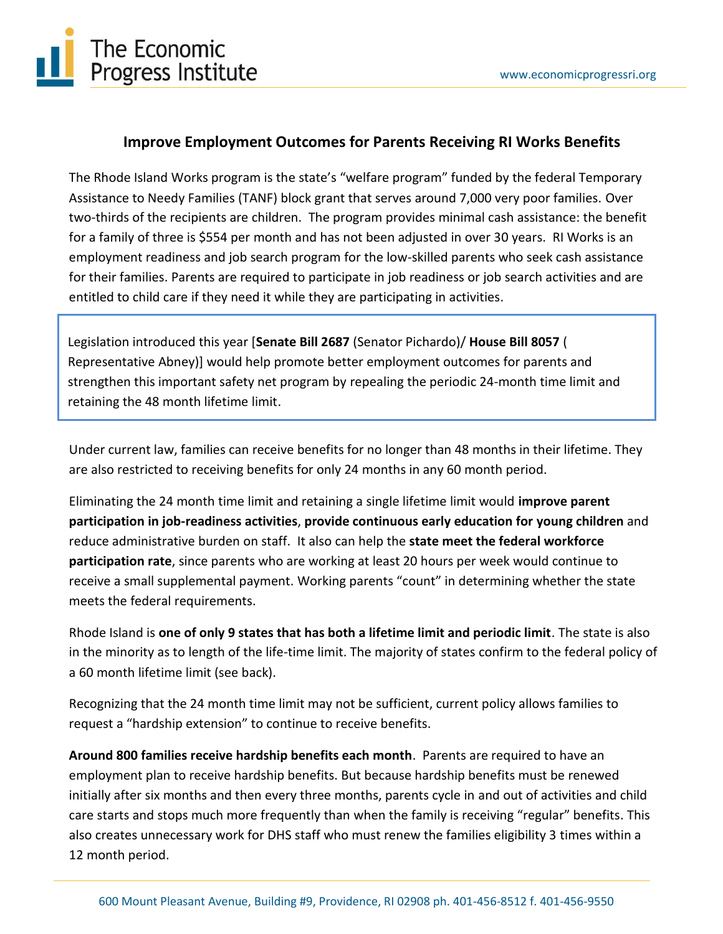

# **Improve Employment Outcomes for Parents Receiving RI Works Benefits**

The Rhode Island Works program is the state's "welfare program" funded by the federal Temporary Assistance to Needy Families (TANF) block grant that serves around 7,000 very poor families. Over two-thirds of the recipients are children. The program provides minimal cash assistance: the benefit for a family of three is \$554 per month and has not been adjusted in over 30 years. RI Works is an employment readiness and job search program for the low-skilled parents who seek cash assistance for their families. Parents are required to participate in job readiness or job search activities and are entitled to child care if they need it while they are participating in activities.

Legislation introduced this year [**Senate Bill 2687** (Senator Pichardo)/ **House Bill 8057** ( Representative Abney)] would help promote better employment outcomes for parents and strengthen this important safety net program by repealing the periodic 24-month time limit and retaining the 48 month lifetime limit.

Under current law, families can receive benefits for no longer than 48 months in their lifetime. They are also restricted to receiving benefits for only 24 months in any 60 month period.

Eliminating the 24 month time limit and retaining a single lifetime limit would **improve parent participation in job-readiness activities**, **provide continuous early education for young children** and reduce administrative burden on staff. It also can help the **state meet the federal workforce participation rate**, since parents who are working at least 20 hours per week would continue to receive a small supplemental payment. Working parents "count" in determining whether the state meets the federal requirements.

Rhode Island is **one of only 9 states that has both a lifetime limit and periodic limit**. The state is also in the minority as to length of the life-time limit. The majority of states confirm to the federal policy of a 60 month lifetime limit (see back).

Recognizing that the 24 month time limit may not be sufficient, current policy allows families to request a "hardship extension" to continue to receive benefits.

**Around 800 families receive hardship benefits each month**. Parents are required to have an employment plan to receive hardship benefits. But because hardship benefits must be renewed initially after six months and then every three months, parents cycle in and out of activities and child care starts and stops much more frequently than when the family is receiving "regular" benefits. This also creates unnecessary work for DHS staff who must renew the families eligibility 3 times within a 12 month period.